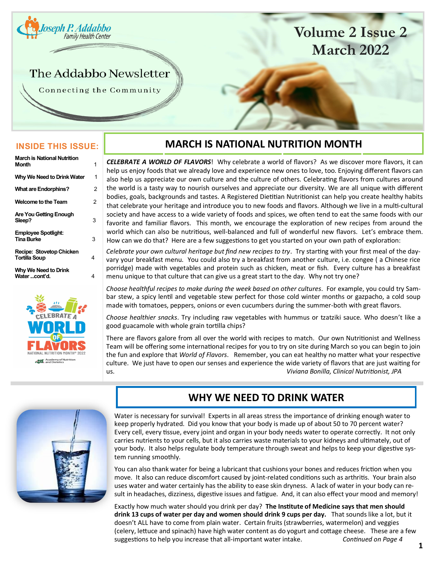<span id="page-0-0"></span>

# **Volume 2 Issue 2 March 2022**

# The Addabbo Newsletter

Connecting the Community

### **INSIDE THIS ISSUE:**

| <b>March is National Nutrition</b>               |   |
|--------------------------------------------------|---|
| <b>Month</b>                                     | 1 |
| Why We Need to Drink Water                       | 1 |
| <b>What are Endorphins?</b>                      | 2 |
| <b>Welcome to the Team</b>                       | 2 |
| <b>Are You Getting Enough</b><br>Sleep?          | 3 |
| <b>Employee Spotlight:</b><br><b>Tina Burke</b>  | 3 |
| Recipe: Stovetop Chicken<br><b>Tortilla Soup</b> | 4 |
| Why We Need to Drink<br>Water cont'd.            | 4 |



### **MARCH IS NATIONAL NUTRITION MONTH**

*CELEBRATE A WORLD OF FLAVORS*! Why celebrate a world of flavors? As we discover more flavors, it can help us enjoy foods that we already love and experience new ones to love, too. Enjoying different flavors can also help us appreciate our own culture and the culture of others. Celebrating flavors from cultures around the world is a tasty way to nourish ourselves and appreciate our diversity. We are all unique with different bodies, goals, backgrounds and tastes. A Registered Dietitian Nutritionist can help you create healthy habits that celebrate your heritage and introduce you to new foods and flavors. Although we live in a multi-cultural society and have access to a wide variety of foods and spices, we often tend to eat the same foods with our favorite and familiar flavors. This month, we encourage the exploration of new recipes from around the world which can also be nutritious, well-balanced and full of wonderful new flavors. Let's embrace them. How can we do that? Here are a few suggestions to get you started on your own path of exploration:

*Celebrate your own cultural heritage but find new recipes to try*. Try starting with your first meal of the dayvary your breakfast menu. You could also try a breakfast from another culture, i.e. congee ( a Chinese rice porridge) made with vegetables and protein such as chicken, meat or fish. Every culture has a breakfast menu unique to that culture that can give us a great start to the day. Why not try one?

*Choose healthful recipes to make during the week based on other cultures*. For example, you could try Sambar stew, a spicy lentil and vegetable stew perfect for those cold winter months or gazpacho, a cold soup made with tomatoes, peppers, onions or even cucumbers during the summer-both with great flavors.

*Choose healthier snacks*. Try including raw vegetables with hummus or tzatziki sauce. Who doesn't like a good guacamole with whole grain tortilla chips?

There are flavors galore from all over the world with recipes to match. Our own Nutritionist and Wellness Team will be offering some international recipes for you to try on site during March so you can begin to join the fun and explore that *World of Flavors*. Remember, you can eat healthy no matter what your respective culture. We just have to open our senses and experience the wide variety of flavors that are just waiting for us. *Viviana Bonilla, Clinical Nutritionist, JPA*



## **WHY WE NEED TO DRINK WATER**

Water is necessary for survival! Experts in all areas stress the importance of drinking enough water to keep properly hydrated. Did you know that your body is made up of about 50 to 70 percent water? Every cell, every tissue, every joint and organ in your body needs water to operate correctly. It not only carries nutrients to your cells, but it also carries waste materials to your kidneys and ultimately, out of your body. It also helps regulate body temperature through sweat and helps to keep your digestive system running smoothly.

You can also thank water for being a lubricant that cushions your bones and reduces friction when you move. It also can reduce discomfort caused by joint-related conditions such as arthritis. Your brain also uses water and water certainly has the ability to ease skin dryness. A lack of water in your body can result in headaches, dizziness, digestive issues and fatigue. And, it can also effect your mood and memory!

Exactly how much water should you drink per day? **The Institute of Medicine says that men should drink 13 cups of water per day and women should drink 9 cups per day.** That sounds like a lot, but it doesn't ALL have to come from plain water. Certain fruits (strawberries, watermelon) and veggies (celery, lettuce and spinach) have high water content as do yogurt and cottage cheese. These are a few suggestions to help you increase that all-important water intake. *Continued on Page 4*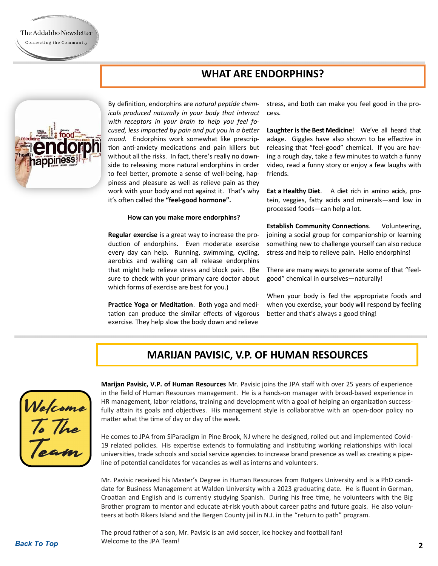

By definition, endorphins are *natural peptide chemicals produced naturally in your body that interact with receptors in your brain to help you feel focused, less impacted by pain and put you in a better mood.* Endorphins work somewhat like prescription anti-anxiety medications and pain killers but without all the risks. In fact, there's really no downside to releasing more natural endorphins in order to feel better, promote a sense of well-being, happiness and pleasure as well as relieve pain as they work with your body and not against it. That's why it's often called the **"feel-good hormone".**

### **How can you make more endorphins?**

**Regular exercise** is a great way to increase the production of endorphins. Even moderate exercise every day can help. Running, swimming, cycling, aerobics and walking can all release endorphins that might help relieve stress and block pain. (Be sure to check with your primary care doctor about which forms of exercise are best for you.)

**Practice Yoga or Meditation**. Both yoga and meditation can produce the similar effects of vigorous exercise. They help slow the body down and relieve

stress, and both can make you feel good in the process.

**Laughter is the Best Medicine**! We've all heard that adage. Giggles have also shown to be effective in releasing that "feel-good" chemical. If you are having a rough day, take a few minutes to watch a funny video, read a funny story or enjoy a few laughs with friends.

**Eat a Healthy Diet**. A diet rich in amino acids, protein, veggies, fatty acids and minerals—and low in processed foods—can help a lot.

**Establish Community Connections.** Volunteering, joining a social group for companionship or learning something new to challenge yourself can also reduce stress and help to relieve pain. Hello endorphins!

There are many ways to generate some of that "feelgood" chemical in ourselves—naturally!

When your body is fed the appropriate foods and when you exercise, your body will respond by feeling better and that's always a good thing!

### **MARIJAN PAVISIC, V.P. OF HUMAN RESOURCES**



**Marijan Pavisic, V.P. of Human Resources** Mr. Pavisic joins the JPA staff with over 25 years of experience in the field of Human Resources management. He is a hands-on manager with broad-based experience in HR management, labor relations, training and development with a goal of helping an organization successfully attain its goals and objectives. His management style is collaborative with an open-door policy no matter what the time of day or day of the week.

He comes to JPA from SiParadigm in Pine Brook, NJ where he designed, rolled out and implemented Covid-19 related policies. His expertise extends to formulating and instituting working relationships with local universities, trade schools and social service agencies to increase brand presence as well as creating a pipeline of potential candidates for vacancies as well as interns and volunteers.

Mr. Pavisic received his Master's Degree in Human Resources from Rutgers University and is a PhD candidate for Business Management at Walden University with a 2023 graduating date. He is fluent in German, Croatian and English and is currently studying Spanish. During his free time, he volunteers with the Big Brother program to mentor and educate at-risk youth about career paths and future goals. He also volunteers at both Rikers Island and the Bergen County jail in N.J. in the "return to path" program.

The proud father of a son, Mr. Pavisic is an avid soccer, ice hockey and football fan! Welcome to the JPA Team!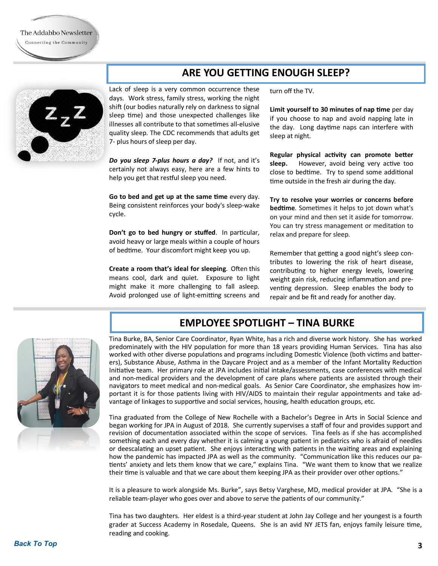## **ARE YOU GETTING ENOUGH SLEEP?**



Lack of sleep is a very common occurrence these days. Work stress, family stress, working the night shift (our bodies naturally rely on darkness to signal sleep time) and those unexpected challenges like illnesses all contribute to that sometimes all-elusive quality sleep. The CDC recommends that adults get 7- plus hours of sleep per day.

*Do you sleep 7-plus hours a day?* If not, and it's certainly not always easy, here are a few hints to help you get that restful sleep you need.

**Go to bed and get up at the same time** every day. Being consistent reinforces your body's sleep-wake cycle.

**Don't go to bed hungry or stuffed**. In particular, avoid heavy or large meals within a couple of hours of bedtime. Your discomfort might keep you up.

**Create a room that's ideal for sleeping**. Often this means cool, dark and quiet. Exposure to light might make it more challenging to fall asleep. Avoid prolonged use of light-emitting screens and

turn off the TV.

**Limit yourself to 30 minutes of nap time** per day if you choose to nap and avoid napping late in the day. Long daytime naps can interfere with sleep at night.

**Regular physical activity can promote better sleep.** However, avoid being very active too close to bedtime. Try to spend some additional time outside in the fresh air during the day.

**Try to resolve your worries or concerns before bedtime**. Sometimes it helps to jot down what's on your mind and then set it aside for tomorrow. You can try stress management or meditation to relax and prepare for sleep.

Remember that getting a good night's sleep contributes to lowering the risk of heart disease, contributing to higher energy levels, lowering weight gain risk, reducing inflammation and preventing depression. Sleep enables the body to repair and be fit and ready for another day.

## **EMPLOYEE SPOTLIGHT – TINA BURKE**



Tina Burke, BA, Senior Care Coordinator, Ryan White, has a rich and diverse work history. She has worked predominately with the HIV population for more than 18 years providing Human Services. Tina has also worked with other diverse populations and programs including Domestic Violence (both victims and batterers), Substance Abuse, Asthma in the Daycare Project and as a member of the Infant Mortality Reduction Initiative team. Her primary role at JPA includes initial intake/assessments, case conferences with medical and non-medical providers and the development of care plans where patients are assisted through their navigators to meet medical and non-medical goals. As Senior Care Coordinator, she emphasizes how important it is for those patients living with HIV/AIDS to maintain their regular appointments and take advantage of linkages to supportive and social services, housing, health education groups, etc.

Tina graduated from the College of New Rochelle with a Bachelor's Degree in Arts in Social Science and began working for JPA in August of 2018. She currently supervises a staff of four and provides support and revision of documentation associated within the scope of services. Tina feels as if she has accomplished something each and every day whether it is calming a young patient in pediatrics who is afraid of needles or deescalating an upset patient. She enjoys interacting with patients in the waiting areas and explaining how the pandemic has impacted JPA as well as the community. "Communication like this reduces our patients' anxiety and lets them know that we care," explains Tina. "We want them to know that we realize their time is valuable and that we care about them keeping JPA as their provider over other options."

It is a pleasure to work alongside Ms. Burke", says Betsy Varghese, MD, medical provider at JPA. "She is a reliable team-player who goes over and above to serve the patients of our community."

Tina has two daughters. Her eldest is a third-year student at John Jay College and her youngest is a fourth grader at Success Academy in Rosedale, Queens. She is an avid NY JETS fan, enjoys family leisure time, reading and cooking.